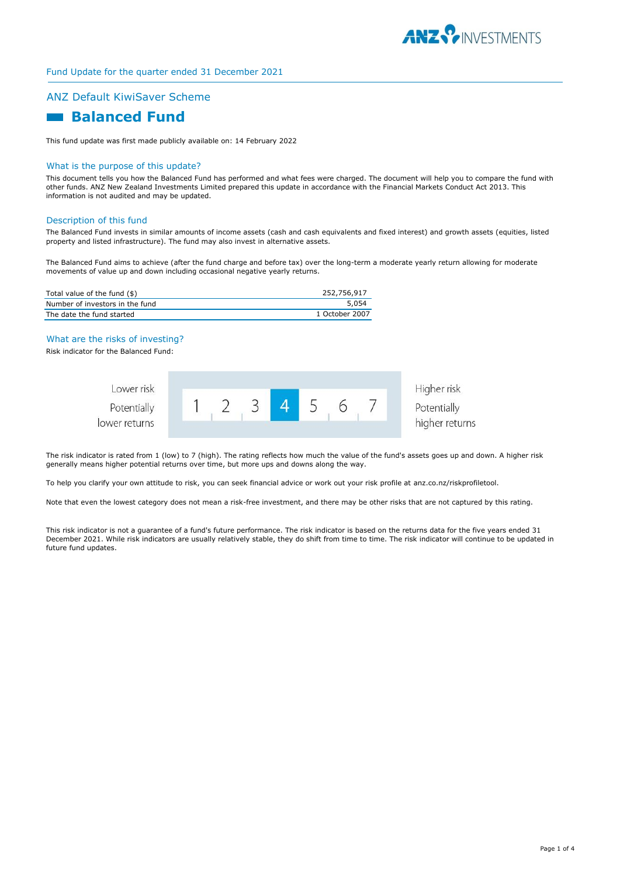

# ANZ Default KiwiSaver Scheme

# **Balanced Fund**

This fund update was first made publicly available on: 14 February 2022

#### What is the purpose of this update?

This document tells you how the Balanced Fund has performed and what fees were charged. The document will help you to compare the fund with other funds. ANZ New Zealand Investments Limited prepared this update in accordance with the Financial Markets Conduct Act 2013. This information is not audited and may be updated.

#### Description of this fund

The Balanced Fund invests in similar amounts of income assets (cash and cash equivalents and fixed interest) and growth assets (equities, listed property and listed infrastructure). The fund may also invest in alternative assets.

The Balanced Fund aims to achieve (after the fund charge and before tax) over the long-term a moderate yearly return allowing for moderate movements of value up and down including occasional negative yearly returns.

| Total value of the fund (\$)    | 252,756,917    |
|---------------------------------|----------------|
| Number of investors in the fund | 5,054          |
| The date the fund started       | 1 October 2007 |

### What are the risks of investing?

Risk indicator for the Balanced Fund:

| Lower risk    |  |  |  | Higher risk    |
|---------------|--|--|--|----------------|
| Potentially   |  |  |  | Potentially    |
| lower returns |  |  |  | higher returns |

The risk indicator is rated from 1 (low) to 7 (high). The rating reflects how much the value of the fund's assets goes up and down. A higher risk generally means higher potential returns over time, but more ups and downs along the way.

To help you clarify your own attitude to risk, you can seek financial advice or work out your risk profile at anz.co.nz/riskprofiletool.

Note that even the lowest category does not mean a risk-free investment, and there may be other risks that are not captured by this rating.

This risk indicator is not a guarantee of a fund's future performance. The risk indicator is based on the returns data for the five years ended 31 December 2021. While risk indicators are usually relatively stable, they do shift from time to time. The risk indicator will continue to be updated in future fund updates.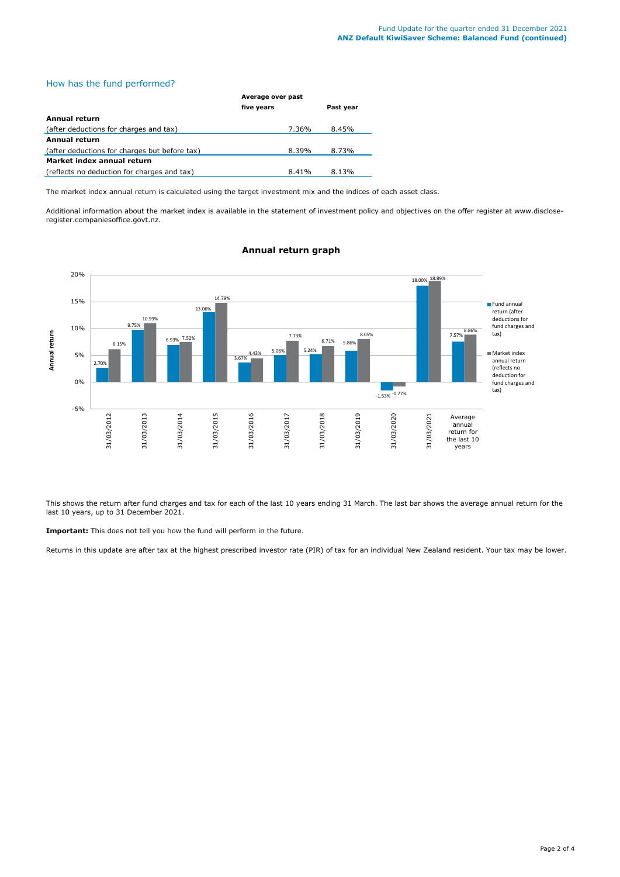# How has the fund performed?

|                                               | Average over past |           |  |
|-----------------------------------------------|-------------------|-----------|--|
|                                               | five years        | Past year |  |
| Annual return                                 |                   |           |  |
| (after deductions for charges and tax)        | 7.36%             | 8.45%     |  |
| <b>Annual return</b>                          |                   |           |  |
| (after deductions for charges but before tax) | 8.39%             | 8.73%     |  |
| Market index annual return                    |                   |           |  |
| (reflects no deduction for charges and tax)   | 8.41%             | 8.13%     |  |

The market index annual return is calculated using the target investment mix and the indices of each asset class.

Additional information about the market index is available in the statement of investment policy and objectives on the offer register at www.discloseregister.companiesoffice.govt.nz.



**Annual return graph**

This shows the return after fund charges and tax for each of the last 10 years ending 31 March. The last bar shows the average annual return for the last 10 years, up to 31 December 2021.

**Important:** This does not tell you how the fund will perform in the future.

Returns in this update are after tax at the highest prescribed investor rate (PIR) of tax for an individual New Zealand resident. Your tax may be lower.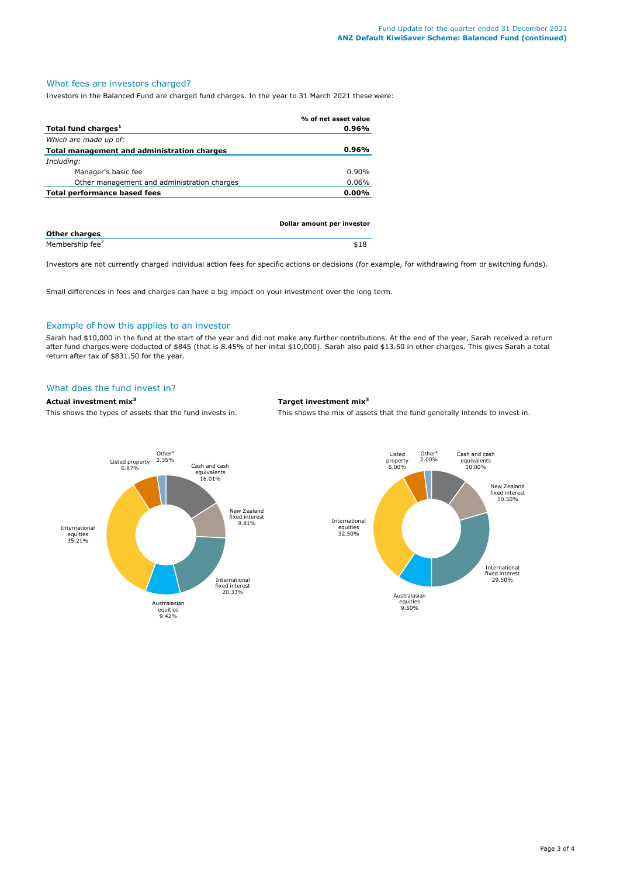# What fees are investors charged?

Investors in the Balanced Fund are charged fund charges. In the year to 31 March 2021 these were:

|                                             | % of net asset value       |
|---------------------------------------------|----------------------------|
| Total fund charges <sup>1</sup>             | $0.96\%$                   |
| Which are made up of:                       |                            |
| Total management and administration charges | $0.96\%$                   |
| Including:                                  |                            |
| Manager's basic fee                         | $0.90\%$                   |
| Other management and administration charges | 0.06%                      |
| Total performance based fees                | $0.00\%$                   |
|                                             |                            |
|                                             |                            |
|                                             | Dollar amount ner investor |

|                             | <b>Dollar allioulit per lifestor</b> |
|-----------------------------|--------------------------------------|
| <b>Other charges</b>        |                                      |
| Membership fee <sup>2</sup> |                                      |

Investors are not currently charged individual action fees for specific actions or decisions (for example, for withdrawing from or switching funds).

Small differences in fees and charges can have a big impact on your investment over the long term.

# Example of how this applies to an investor

Sarah had \$10,000 in the fund at the start of the year and did not make any further contributions. At the end of the year, Sarah received a return after fund charges were deducted of \$845 (that is 8.45% of her inital \$10,000). Sarah also paid \$13.50 in other charges. This gives Sarah a total return after tax of \$831.50 for the year.

# What does the fund invest in?

## **Actual investment mix<sup>3</sup> Target investment mix<sup>3</sup>**

This shows the types of assets that the fund invests in. This shows the mix of assets that the fund generally intends to invest in.